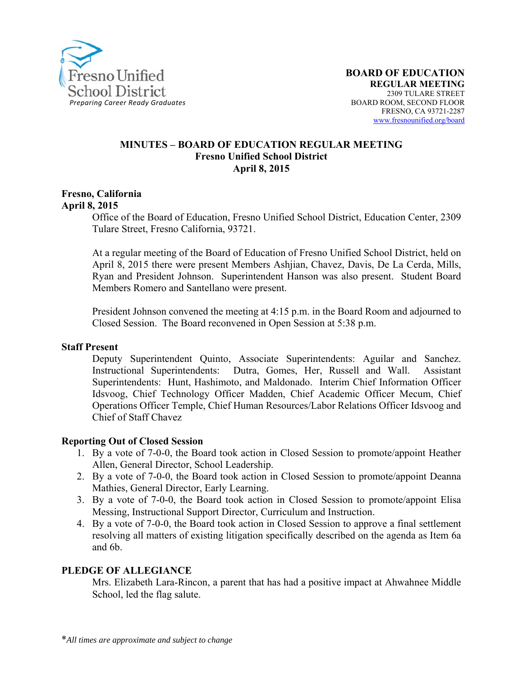

#### **MINUTES – BOARD OF EDUCATION REGULAR MEETING Fresno Unified School District April 8, 2015**

#### **Fresno, California April 8, 2015**

Office of the Board of Education, Fresno Unified School District, Education Center, 2309 Tulare Street, Fresno California, 93721.

At a regular meeting of the Board of Education of Fresno Unified School District, held on April 8, 2015 there were present Members Ashjian, Chavez, Davis, De La Cerda, Mills, Ryan and President Johnson. Superintendent Hanson was also present. Student Board Members Romero and Santellano were present.

President Johnson convened the meeting at 4:15 p.m. in the Board Room and adjourned to Closed Session. The Board reconvened in Open Session at 5:38 p.m.

#### **Staff Present**

Deputy Superintendent Quinto, Associate Superintendents: Aguilar and Sanchez. Instructional Superintendents: Dutra, Gomes, Her, Russell and Wall. Assistant Superintendents: Hunt, Hashimoto, and Maldonado. Interim Chief Information Officer Idsvoog, Chief Technology Officer Madden, Chief Academic Officer Mecum, Chief Operations Officer Temple, Chief Human Resources/Labor Relations Officer Idsvoog and Chief of Staff Chavez

#### **Reporting Out of Closed Session**

- 1. By a vote of 7-0-0, the Board took action in Closed Session to promote/appoint Heather Allen, General Director, School Leadership.
- 2. By a vote of 7-0-0, the Board took action in Closed Session to promote/appoint Deanna Mathies, General Director, Early Learning.
- 3. By a vote of 7-0-0, the Board took action in Closed Session to promote/appoint Elisa Messing, Instructional Support Director, Curriculum and Instruction.
- 4. By a vote of 7-0-0, the Board took action in Closed Session to approve a final settlement resolving all matters of existing litigation specifically described on the agenda as Item 6a and 6b.

### **PLEDGE OF ALLEGIANCE**

Mrs. Elizabeth Lara-Rincon, a parent that has had a positive impact at Ahwahnee Middle School, led the flag salute.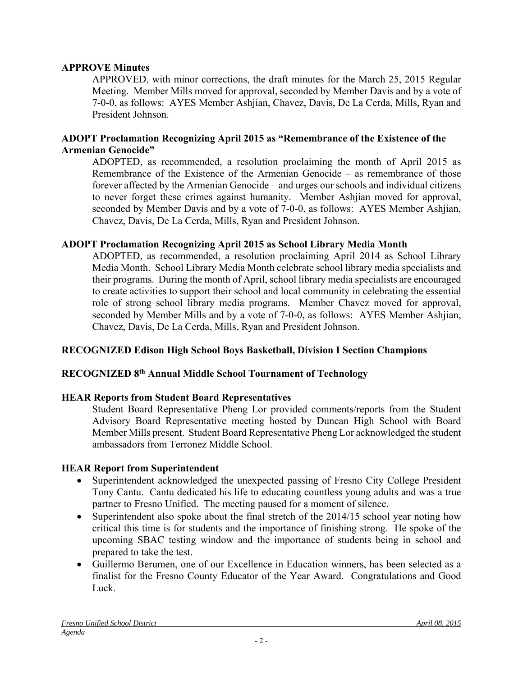### **APPROVE Minutes**

APPROVED, with minor corrections, the draft minutes for the March 25, 2015 Regular Meeting. Member Mills moved for approval, seconded by Member Davis and by a vote of 7-0-0, as follows: AYES Member Ashjian, Chavez, Davis, De La Cerda, Mills, Ryan and President Johnson.

### **ADOPT Proclamation Recognizing April 2015 as "Remembrance of the Existence of the Armenian Genocide"**

ADOPTED, as recommended, a resolution proclaiming the month of April 2015 as Remembrance of the Existence of the Armenian Genocide – as remembrance of those forever affected by the Armenian Genocide – and urges our schools and individual citizens to never forget these crimes against humanity. Member Ashjian moved for approval, seconded by Member Davis and by a vote of 7-0-0, as follows: AYES Member Ashjian, Chavez, Davis, De La Cerda, Mills, Ryan and President Johnson.

### **ADOPT Proclamation Recognizing April 2015 as School Library Media Month**

ADOPTED, as recommended, a resolution proclaiming April 2014 as School Library Media Month. School Library Media Month celebrate school library media specialists and their programs. During the month of April, school library media specialists are encouraged to create activities to support their school and local community in celebrating the essential role of strong school library media programs. Member Chavez moved for approval, seconded by Member Mills and by a vote of 7-0-0, as follows: AYES Member Ashjian, Chavez, Davis, De La Cerda, Mills, Ryan and President Johnson.

## **RECOGNIZED Edison High School Boys Basketball, Division I Section Champions**

### **RECOGNIZED 8th Annual Middle School Tournament of Technology**

### **HEAR Reports from Student Board Representatives**

Student Board Representative Pheng Lor provided comments/reports from the Student Advisory Board Representative meeting hosted by Duncan High School with Board Member Mills present. Student Board Representative Pheng Lor acknowledged the student ambassadors from Terronez Middle School.

### **HEAR Report from Superintendent**

- Superintendent acknowledged the unexpected passing of Fresno City College President Tony Cantu. Cantu dedicated his life to educating countless young adults and was a true partner to Fresno Unified. The meeting paused for a moment of silence.
- Superintendent also spoke about the final stretch of the 2014/15 school year noting how critical this time is for students and the importance of finishing strong. He spoke of the upcoming SBAC testing window and the importance of students being in school and prepared to take the test.
- Guillermo Berumen, one of our Excellence in Education winners, has been selected as a finalist for the Fresno County Educator of the Year Award. Congratulations and Good Luck.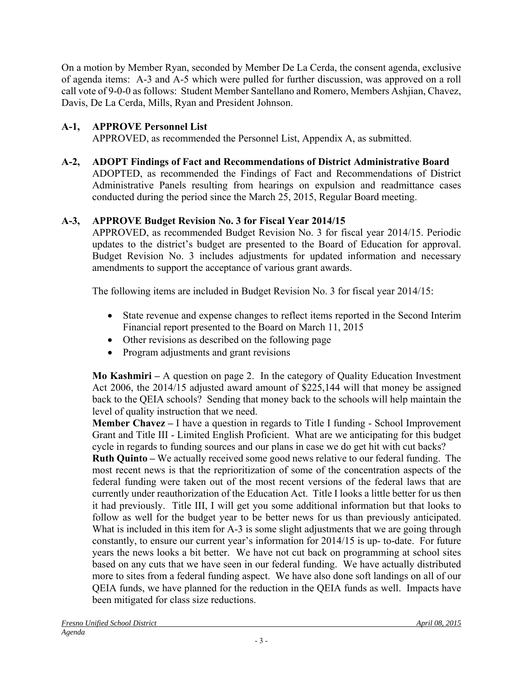On a motion by Member Ryan, seconded by Member De La Cerda, the consent agenda, exclusive of agenda items: A-3 and A-5 which were pulled for further discussion, was approved on a roll call vote of 9-0-0 as follows: Student Member Santellano and Romero, Members Ashjian, Chavez, Davis, De La Cerda, Mills, Ryan and President Johnson.

# **A-1, APPROVE Personnel List**

APPROVED, as recommended the Personnel List, Appendix A, as submitted.

## **A-2, ADOPT Findings of Fact and Recommendations of District Administrative Board**

ADOPTED, as recommended the Findings of Fact and Recommendations of District Administrative Panels resulting from hearings on expulsion and readmittance cases conducted during the period since the March 25, 2015, Regular Board meeting.

# **A-3, APPROVE Budget Revision No. 3 for Fiscal Year 2014/15**

APPROVED, as recommended Budget Revision No. 3 for fiscal year 2014/15. Periodic updates to the district's budget are presented to the Board of Education for approval. Budget Revision No. 3 includes adjustments for updated information and necessary amendments to support the acceptance of various grant awards.

The following items are included in Budget Revision No. 3 for fiscal year 2014/15:

- State revenue and expense changes to reflect items reported in the Second Interim Financial report presented to the Board on March 11, 2015
- Other revisions as described on the following page
- Program adjustments and grant revisions

**Mo Kashmiri –** A question on page 2. In the category of Quality Education Investment Act 2006, the 2014/15 adjusted award amount of \$225,144 will that money be assigned back to the QEIA schools? Sending that money back to the schools will help maintain the level of quality instruction that we need.

**Member Chavez –** I have a question in regards to Title I funding - School Improvement Grant and Title III - Limited English Proficient. What are we anticipating for this budget cycle in regards to funding sources and our plans in case we do get hit with cut backs?

**Ruth Quinto –** We actually received some good news relative to our federal funding. The most recent news is that the reprioritization of some of the concentration aspects of the federal funding were taken out of the most recent versions of the federal laws that are currently under reauthorization of the Education Act. Title I looks a little better for us then it had previously. Title III, I will get you some additional information but that looks to follow as well for the budget year to be better news for us than previously anticipated. What is included in this item for A-3 is some slight adjustments that we are going through constantly, to ensure our current year's information for 2014/15 is up- to-date. For future years the news looks a bit better. We have not cut back on programming at school sites based on any cuts that we have seen in our federal funding. We have actually distributed more to sites from a federal funding aspect. We have also done soft landings on all of our QEIA funds, we have planned for the reduction in the QEIA funds as well. Impacts have been mitigated for class size reductions.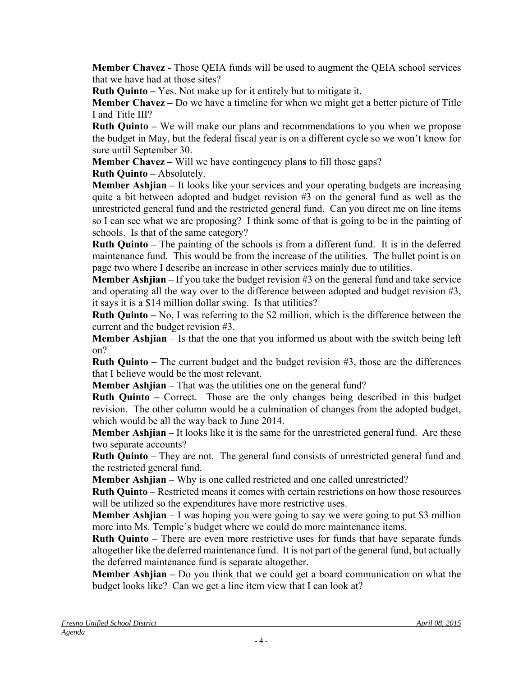**Member Chavez -** Those QEIA funds will be used to augment the QEIA school services that we have had at those sites?

**Ruth Quinto –** Yes. Not make up for it entirely but to mitigate it.

**Member Chavez –** Do we have a timeline for when we might get a better picture of Title I and Title III?

**Ruth Quinto** – We will make our plans and recommendations to you when we propose the budget in May, but the federal fiscal year is on a different cycle so we won't know for sure until September 30.

**Member Chavez –** Will we have contingency plan**s** to fill those gaps?

**Ruth Quinto –** Absolutely.

**Member Ashjian** – It looks like your services and your operating budgets are increasing quite a bit between adopted and budget revision #3 on the general fund as well as the unrestricted general fund and the restricted general fund. Can you direct me on line items so I can see what we are proposing? I think some of that is going to be in the painting of schools. Is that of the same category?

**Ruth Quinto –** The painting of the schools is from a different fund. It is in the deferred maintenance fund. This would be from the increase of the utilities. The bullet point is on page two where I describe an increase in other services mainly due to utilities.

**Member Ashjian –** If you take the budget revision #3 on the general fund and take service and operating all the way over to the difference between adopted and budget revision #3, it says it is a \$14 million dollar swing. Is that utilities?

**Ruth Quinto –** No, I was referring to the \$2 million, which is the difference between the current and the budget revision #3.

**Member Ashijan** – Is that the one that you informed us about with the switch being left on?

**Ruth Quinto –** The current budget and the budget revision #3, those are the differences that I believe would be the most relevant.

**Member Ashiian** – That was the utilities one on the general fund?

**Ruth Quinto –** Correct. Those are the only changes being described in this budget revision. The other column would be a culmination of changes from the adopted budget, which would be all the way back to June 2014.

**Member Ashjian –** It looks like it is the same for the unrestricted general fund. Are these two separate accounts?

**Ruth Quinto** – They are not. The general fund consists of unrestricted general fund and the restricted general fund.

**Member Ashjian –** Why is one called restricted and one called unrestricted?

**Ruth Quinto** – Restricted means it comes with certain restrictions on how those resources will be utilized so the expenditures have more restrictive uses.

**Member Ashijan** – I was hoping you were going to say we were going to put \$3 million more into Ms. Temple's budget where we could do more maintenance items.

**Ruth Quinto –** There are even more restrictive uses for funds that have separate funds altogether like the deferred maintenance fund. It is not part of the general fund, but actually the deferred maintenance fund is separate altogether.

**Member Ashjian –** Do you think that we could get a board communication on what the budget looks like? Can we get a line item view that I can look at?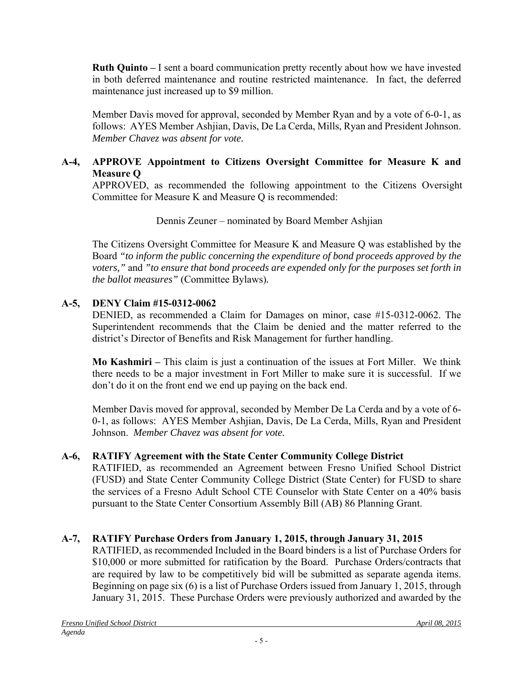**Ruth Quinto –** I sent a board communication pretty recently about how we have invested in both deferred maintenance and routine restricted maintenance. In fact, the deferred maintenance just increased up to \$9 million.

Member Davis moved for approval, seconded by Member Ryan and by a vote of 6-0-1, as follows: AYES Member Ashjian, Davis, De La Cerda, Mills, Ryan and President Johnson. *Member Chavez was absent for vote.*

## **A-4, APPROVE Appointment to Citizens Oversight Committee for Measure K and Measure Q**

APPROVED, as recommended the following appointment to the Citizens Oversight Committee for Measure K and Measure Q is recommended:

Dennis Zeuner – nominated by Board Member Ashjian

The Citizens Oversight Committee for Measure K and Measure Q was established by the Board *"to inform the public concerning the expenditure of bond proceeds approved by the voters,"* and *"to ensure that bond proceeds are expended only for the purposes set forth in the ballot measures"* (Committee Bylaws)*.*

# **A-5, DENY Claim #15-0312-0062**

DENIED, as recommended a Claim for Damages on minor, case #15-0312-0062. The Superintendent recommends that the Claim be denied and the matter referred to the district's Director of Benefits and Risk Management for further handling.

**Mo Kashmiri –** This claim is just a continuation of the issues at Fort Miller. We think there needs to be a major investment in Fort Miller to make sure it is successful. If we don't do it on the front end we end up paying on the back end.

Member Davis moved for approval, seconded by Member De La Cerda and by a vote of 6- 0-1, as follows: AYES Member Ashjian, Davis, De La Cerda, Mills, Ryan and President Johnson. *Member Chavez was absent for vote.*

# **A-6, RATIFY Agreement with the State Center Community College District**

RATIFIED, as recommended an Agreement between Fresno Unified School District (FUSD) and State Center Community College District (State Center) for FUSD to share the services of a Fresno Adult School CTE Counselor with State Center on a 40% basis pursuant to the State Center Consortium Assembly Bill (AB) 86 Planning Grant.

# **A-7, RATIFY Purchase Orders from January 1, 2015, through January 31, 2015**

RATIFIED, as recommended Included in the Board binders is a list of Purchase Orders for \$10,000 or more submitted for ratification by the Board. Purchase Orders/contracts that are required by law to be competitively bid will be submitted as separate agenda items. Beginning on page six (6) is a list of Purchase Orders issued from January 1, 2015, through January 31, 2015. These Purchase Orders were previously authorized and awarded by the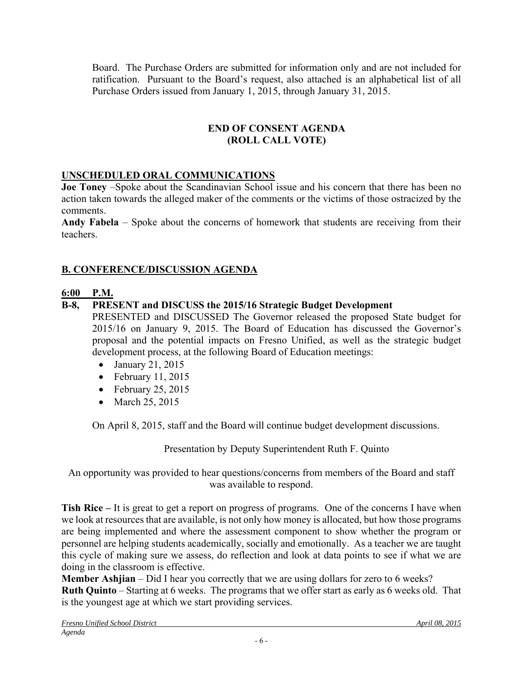Board. The Purchase Orders are submitted for information only and are not included for ratification. Pursuant to the Board's request, also attached is an alphabetical list of all Purchase Orders issued from January 1, 2015, through January 31, 2015.

### **END OF CONSENT AGENDA (ROLL CALL VOTE)**

## **UNSCHEDULED ORAL COMMUNICATIONS**

**Joe Toney** –Spoke about the Scandinavian School issue and his concern that there has been no action taken towards the alleged maker of the comments or the victims of those ostracized by the comments.

**Andy Fabela** – Spoke about the concerns of homework that students are receiving from their teachers.

# **B. CONFERENCE/DISCUSSION AGENDA**

# **6:00 P.M.**

## **B-8, PRESENT and DISCUSS the 2015/16 Strategic Budget Development**

PRESENTED and DISCUSSED The Governor released the proposed State budget for 2015/16 on January 9, 2015. The Board of Education has discussed the Governor's proposal and the potential impacts on Fresno Unified, as well as the strategic budget development process, at the following Board of Education meetings:

- $\bullet$  January 21, 2015
- $\bullet$  February 11, 2015
- $\bullet$  February 25, 2015
- March 25, 2015

On April 8, 2015, staff and the Board will continue budget development discussions.

Presentation by Deputy Superintendent Ruth F. Quinto

An opportunity was provided to hear questions/concerns from members of the Board and staff was available to respond.

**Tish Rice –** It is great to get a report on progress of programs. One of the concerns I have when we look at resources that are available, is not only how money is allocated, but how those programs are being implemented and where the assessment component to show whether the program or personnel are helping students academically, socially and emotionally. As a teacher we are taught this cycle of making sure we assess, do reflection and look at data points to see if what we are doing in the classroom is effective.

**Member Ashjian** – Did I hear you correctly that we are using dollars for zero to 6 weeks? **Ruth Quinto** – Starting at 6 weeks. The programs that we offer start as early as 6 weeks old. That is the youngest age at which we start providing services.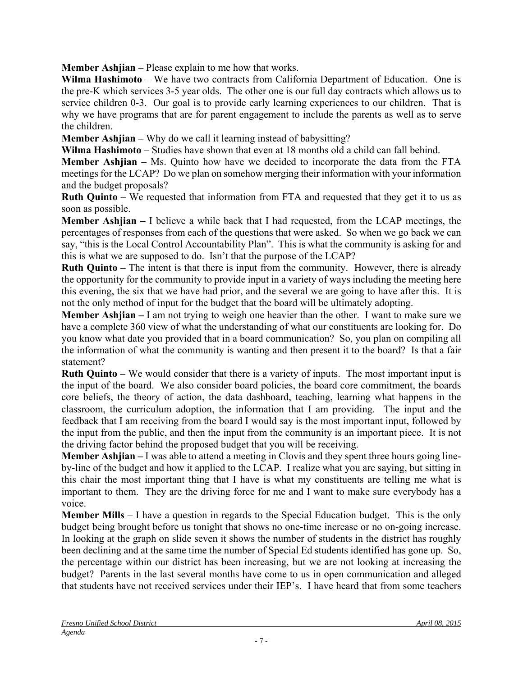**Member Ashjian –** Please explain to me how that works.

**Wilma Hashimoto** – We have two contracts from California Department of Education. One is the pre-K which services 3-5 year olds. The other one is our full day contracts which allows us to service children 0-3. Our goal is to provide early learning experiences to our children. That is why we have programs that are for parent engagement to include the parents as well as to serve the children.

**Member Ashjian –** Why do we call it learning instead of babysitting?

**Wilma Hashimoto** – Studies have shown that even at 18 months old a child can fall behind.

**Member Ashjian –** Ms. Quinto how have we decided to incorporate the data from the FTA meetings for the LCAP? Do we plan on somehow merging their information with your information and the budget proposals?

**Ruth Quinto** – We requested that information from FTA and requested that they get it to us as soon as possible.

**Member Ashjian –** I believe a while back that I had requested, from the LCAP meetings, the percentages of responses from each of the questions that were asked. So when we go back we can say, "this is the Local Control Accountability Plan". This is what the community is asking for and this is what we are supposed to do. Isn't that the purpose of the LCAP?

**Ruth Quinto –** The intent is that there is input from the community. However, there is already the opportunity for the community to provide input in a variety of ways including the meeting here this evening, the six that we have had prior, and the several we are going to have after this. It is not the only method of input for the budget that the board will be ultimately adopting.

**Member Ashjian –** I am not trying to weigh one heavier than the other. I want to make sure we have a complete 360 view of what the understanding of what our constituents are looking for. Do you know what date you provided that in a board communication? So, you plan on compiling all the information of what the community is wanting and then present it to the board? Is that a fair statement?

**Ruth Quinto –** We would consider that there is a variety of inputs. The most important input is the input of the board. We also consider board policies, the board core commitment, the boards core beliefs, the theory of action, the data dashboard, teaching, learning what happens in the classroom, the curriculum adoption, the information that I am providing. The input and the feedback that I am receiving from the board I would say is the most important input, followed by the input from the public, and then the input from the community is an important piece. It is not the driving factor behind the proposed budget that you will be receiving.

**Member Ashjian** – I was able to attend a meeting in Clovis and they spent three hours going lineby-line of the budget and how it applied to the LCAP. I realize what you are saying, but sitting in this chair the most important thing that I have is what my constituents are telling me what is important to them. They are the driving force for me and I want to make sure everybody has a voice.

**Member Mills** – I have a question in regards to the Special Education budget. This is the only budget being brought before us tonight that shows no one-time increase or no on-going increase. In looking at the graph on slide seven it shows the number of students in the district has roughly been declining and at the same time the number of Special Ed students identified has gone up. So, the percentage within our district has been increasing, but we are not looking at increasing the budget? Parents in the last several months have come to us in open communication and alleged that students have not received services under their IEP's. I have heard that from some teachers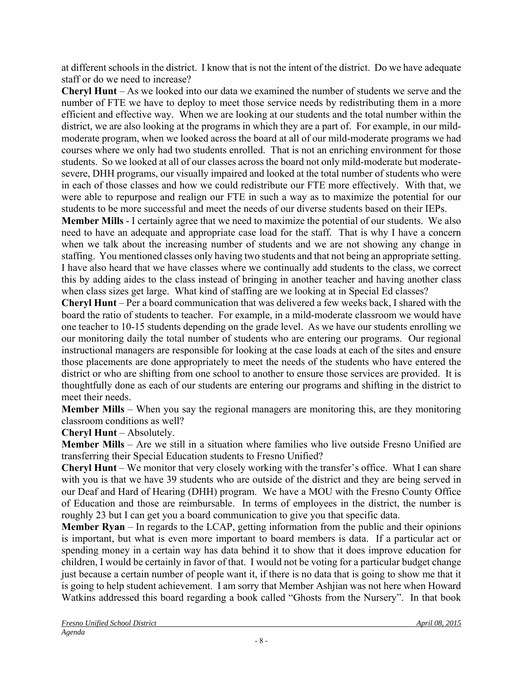at different schools in the district. I know that is not the intent of the district. Do we have adequate staff or do we need to increase?

**Cheryl Hunt** – As we looked into our data we examined the number of students we serve and the number of FTE we have to deploy to meet those service needs by redistributing them in a more efficient and effective way. When we are looking at our students and the total number within the district, we are also looking at the programs in which they are a part of. For example, in our mildmoderate program, when we looked across the board at all of our mild-moderate programs we had courses where we only had two students enrolled. That is not an enriching environment for those students. So we looked at all of our classes across the board not only mild-moderate but moderatesevere, DHH programs, our visually impaired and looked at the total number of students who were in each of those classes and how we could redistribute our FTE more effectively. With that, we were able to repurpose and realign our FTE in such a way as to maximize the potential for our students to be more successful and meet the needs of our diverse students based on their IEPs.

**Member Mills** - I certainly agree that we need to maximize the potential of our students. We also need to have an adequate and appropriate case load for the staff. That is why I have a concern when we talk about the increasing number of students and we are not showing any change in staffing. You mentioned classes only having two students and that not being an appropriate setting. I have also heard that we have classes where we continually add students to the class, we correct this by adding aides to the class instead of bringing in another teacher and having another class when class sizes get large. What kind of staffing are we looking at in Special Ed classes?

**Cheryl Hunt** – Per a board communication that was delivered a few weeks back, I shared with the board the ratio of students to teacher. For example, in a mild-moderate classroom we would have one teacher to 10-15 students depending on the grade level. As we have our students enrolling we our monitoring daily the total number of students who are entering our programs. Our regional instructional managers are responsible for looking at the case loads at each of the sites and ensure those placements are done appropriately to meet the needs of the students who have entered the district or who are shifting from one school to another to ensure those services are provided. It is thoughtfully done as each of our students are entering our programs and shifting in the district to meet their needs.

**Member Mills** – When you say the regional managers are monitoring this, are they monitoring classroom conditions as well?

**Cheryl Hunt** – Absolutely.

**Member Mills** – Are we still in a situation where families who live outside Fresno Unified are transferring their Special Education students to Fresno Unified?

**Cheryl Hunt** – We monitor that very closely working with the transfer's office. What I can share with you is that we have 39 students who are outside of the district and they are being served in our Deaf and Hard of Hearing (DHH) program. We have a MOU with the Fresno County Office of Education and those are reimbursable. In terms of employees in the district, the number is roughly 23 but I can get you a board communication to give you that specific data.

**Member Ryan** – In regards to the LCAP, getting information from the public and their opinions is important, but what is even more important to board members is data. If a particular act or spending money in a certain way has data behind it to show that it does improve education for children, I would be certainly in favor of that. I would not be voting for a particular budget change just because a certain number of people want it, if there is no data that is going to show me that it is going to help student achievement. I am sorry that Member Ashjian was not here when Howard Watkins addressed this board regarding a book called "Ghosts from the Nursery". In that book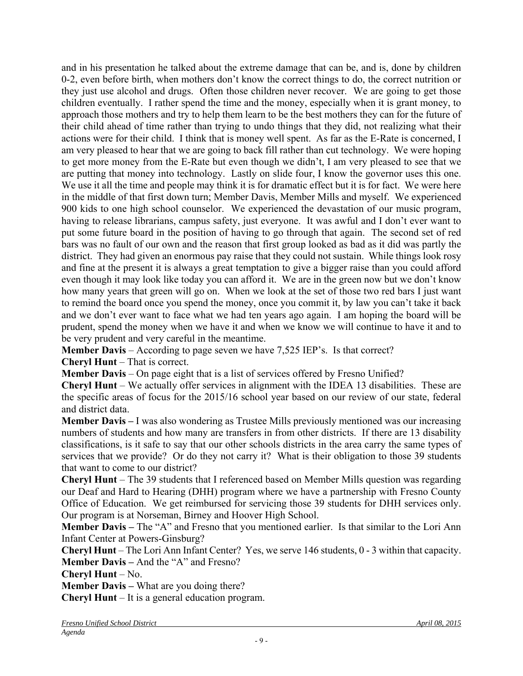and in his presentation he talked about the extreme damage that can be, and is, done by children 0-2, even before birth, when mothers don't know the correct things to do, the correct nutrition or they just use alcohol and drugs. Often those children never recover. We are going to get those children eventually. I rather spend the time and the money, especially when it is grant money, to approach those mothers and try to help them learn to be the best mothers they can for the future of their child ahead of time rather than trying to undo things that they did, not realizing what their actions were for their child. I think that is money well spent. As far as the E-Rate is concerned, I am very pleased to hear that we are going to back fill rather than cut technology. We were hoping to get more money from the E-Rate but even though we didn't, I am very pleased to see that we are putting that money into technology. Lastly on slide four, I know the governor uses this one. We use it all the time and people may think it is for dramatic effect but it is for fact. We were here in the middle of that first down turn; Member Davis, Member Mills and myself. We experienced 900 kids to one high school counselor. We experienced the devastation of our music program, having to release librarians, campus safety, just everyone. It was awful and I don't ever want to put some future board in the position of having to go through that again. The second set of red bars was no fault of our own and the reason that first group looked as bad as it did was partly the district. They had given an enormous pay raise that they could not sustain. While things look rosy and fine at the present it is always a great temptation to give a bigger raise than you could afford even though it may look like today you can afford it. We are in the green now but we don't know how many years that green will go on. When we look at the set of those two red bars I just want to remind the board once you spend the money, once you commit it, by law you can't take it back and we don't ever want to face what we had ten years ago again. I am hoping the board will be prudent, spend the money when we have it and when we know we will continue to have it and to be very prudent and very careful in the meantime.

**Member Davis** – According to page seven we have 7,525 IEP's. Is that correct?

**Cheryl Hunt** – That is correct.

**Member Davis** – On page eight that is a list of services offered by Fresno Unified?

**Cheryl Hunt** – We actually offer services in alignment with the IDEA 13 disabilities. These are the specific areas of focus for the 2015/16 school year based on our review of our state, federal and district data.

**Member Davis –** I was also wondering as Trustee Mills previously mentioned was our increasing numbers of students and how many are transfers in from other districts. If there are 13 disability classifications, is it safe to say that our other schools districts in the area carry the same types of services that we provide? Or do they not carry it? What is their obligation to those 39 students that want to come to our district?

**Cheryl Hunt** – The 39 students that I referenced based on Member Mills question was regarding our Deaf and Hard to Hearing (DHH) program where we have a partnership with Fresno County Office of Education. We get reimbursed for servicing those 39 students for DHH services only. Our program is at Norseman, Birney and Hoover High School.

**Member Davis –** The "A" and Fresno that you mentioned earlier. Is that similar to the Lori Ann Infant Center at Powers-Ginsburg?

**Cheryl Hunt** – The Lori Ann Infant Center? Yes, we serve 146 students, 0 - 3 within that capacity. **Member Davis –** And the "A" and Fresno?

**Cheryl Hunt** – No.

**Member Davis –** What are you doing there?

**Cheryl Hunt** – It is a general education program.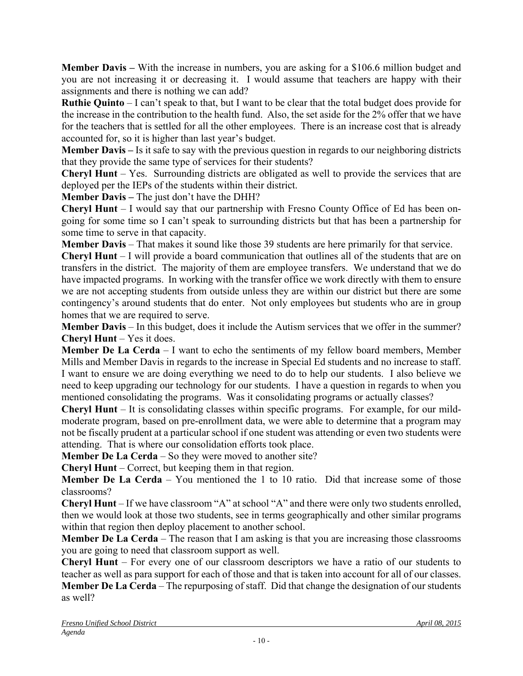**Member Davis –** With the increase in numbers, you are asking for a \$106.6 million budget and you are not increasing it or decreasing it. I would assume that teachers are happy with their assignments and there is nothing we can add?

**Ruthie Quinto** – I can't speak to that, but I want to be clear that the total budget does provide for the increase in the contribution to the health fund. Also, the set aside for the 2% offer that we have for the teachers that is settled for all the other employees. There is an increase cost that is already accounted for, so it is higher than last year's budget.

**Member Davis –** Is it safe to say with the previous question in regards to our neighboring districts that they provide the same type of services for their students?

**Cheryl Hunt** – Yes. Surrounding districts are obligated as well to provide the services that are deployed per the IEPs of the students within their district.

**Member Davis –** The just don't have the DHH?

**Cheryl Hunt** – I would say that our partnership with Fresno County Office of Ed has been ongoing for some time so I can't speak to surrounding districts but that has been a partnership for some time to serve in that capacity.

**Member Davis** – That makes it sound like those 39 students are here primarily for that service.

**Cheryl Hunt** – I will provide a board communication that outlines all of the students that are on transfers in the district. The majority of them are employee transfers. We understand that we do have impacted programs. In working with the transfer office we work directly with them to ensure we are not accepting students from outside unless they are within our district but there are some contingency's around students that do enter. Not only employees but students who are in group homes that we are required to serve.

**Member Davis** – In this budget, does it include the Autism services that we offer in the summer? **Cheryl Hunt** – Yes it does.

**Member De La Cerda** – I want to echo the sentiments of my fellow board members, Member Mills and Member Davis in regards to the increase in Special Ed students and no increase to staff. I want to ensure we are doing everything we need to do to help our students. I also believe we need to keep upgrading our technology for our students. I have a question in regards to when you mentioned consolidating the programs. Was it consolidating programs or actually classes?

**Cheryl Hunt** – It is consolidating classes within specific programs. For example, for our mildmoderate program, based on pre-enrollment data, we were able to determine that a program may not be fiscally prudent at a particular school if one student was attending or even two students were attending. That is where our consolidation efforts took place.

**Member De La Cerda** – So they were moved to another site?

**Cheryl Hunt** – Correct, but keeping them in that region.

**Member De La Cerda** – You mentioned the 1 to 10 ratio. Did that increase some of those classrooms?

**Cheryl Hunt** – If we have classroom "A" at school "A" and there were only two students enrolled, then we would look at those two students, see in terms geographically and other similar programs within that region then deploy placement to another school.

**Member De La Cerda** – The reason that I am asking is that you are increasing those classrooms you are going to need that classroom support as well.

**Cheryl Hunt** – For every one of our classroom descriptors we have a ratio of our students to teacher as well as para support for each of those and that is taken into account for all of our classes. **Member De La Cerda** – The repurposing of staff. Did that change the designation of our students as well?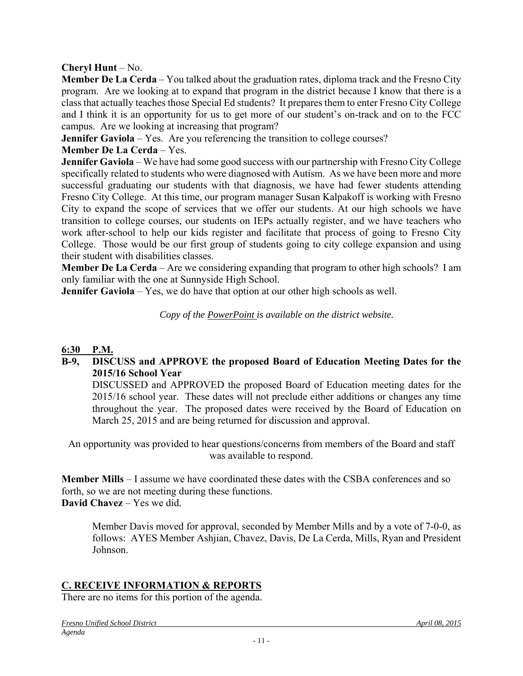### **Cheryl Hunt** – No.

**Member De La Cerda** – You talked about the graduation rates, diploma track and the Fresno City program. Are we looking at to expand that program in the district because I know that there is a class that actually teaches those Special Ed students? It prepares them to enter Fresno City College and I think it is an opportunity for us to get more of our student's on-track and on to the FCC campus. Are we looking at increasing that program?

**Jennifer Gaviola** – Yes. Are you referencing the transition to college courses?

## **Member De La Cerda** – Yes.

**Jennifer Gaviola** – We have had some good success with our partnership with Fresno City College specifically related to students who were diagnosed with Autism. As we have been more and more successful graduating our students with that diagnosis, we have had fewer students attending Fresno City College. At this time, our program manager Susan Kalpakoff is working with Fresno City to expand the scope of services that we offer our students. At our high schools we have transition to college courses, our students on IEPs actually register, and we have teachers who work after-school to help our kids register and facilitate that process of going to Fresno City College. Those would be our first group of students going to city college expansion and using their student with disabilities classes.

**Member De La Cerda** – Are we considering expanding that program to other high schools? I am only familiar with the one at Sunnyside High School.

**Jennifer Gaviola** – Yes, we do have that option at our other high schools as well.

*Copy of the PowerPoint is available on the district website.* 

## **6:30 P.M.**

### **B-9, DISCUSS and APPROVE the proposed Board of Education Meeting Dates for the 2015/16 School Year**

 DISCUSSED and APPROVED the proposed Board of Education meeting dates for the 2015/16 school year. These dates will not preclude either additions or changes any time throughout the year. The proposed dates were received by the Board of Education on March 25, 2015 and are being returned for discussion and approval.

An opportunity was provided to hear questions/concerns from members of the Board and staff was available to respond.

**Member Mills** – I assume we have coordinated these dates with the CSBA conferences and so forth, so we are not meeting during these functions. **David Chavez** – Yes we did.

Member Davis moved for approval, seconded by Member Mills and by a vote of 7-0-0, as follows: AYES Member Ashjian, Chavez, Davis, De La Cerda, Mills, Ryan and President Johnson.

## **C. RECEIVE INFORMATION & REPORTS**

There are no items for this portion of the agenda.